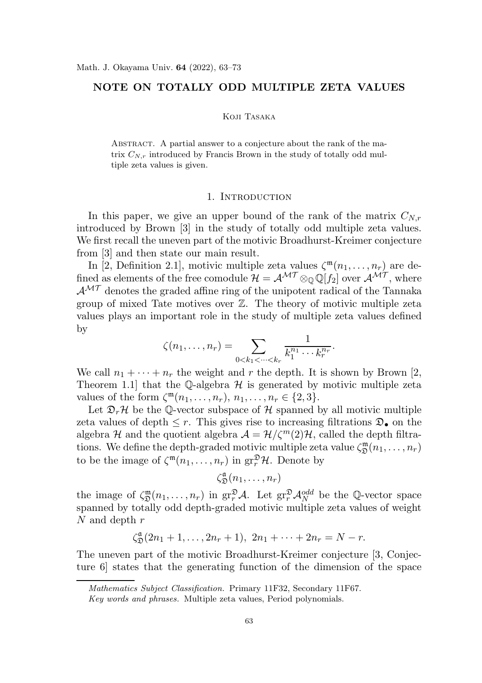# NOTE ON TOTALLY ODD MULTIPLE ZETA VALUES

#### Koji Tasaka

ABSTRACT. A partial answer to a conjecture about the rank of the matrix  $C_{N,r}$  introduced by Francis Brown in the study of totally odd multiple zeta values is given.

#### 1. INTRODUCTION

In this paper, we give an upper bound of the rank of the matrix  $C_{N,r}$ introduced by Brown [3] in the study of totally odd multiple zeta values. We first recall the uneven part of the motivic Broadhurst-Kreimer conjecture from [3] and then state our main result.

In [2, Definition 2.1], motivic multiple zeta values  $\zeta^{\mathfrak{m}}(n_1,\ldots,n_r)$  are defined as elements of the free comodule  $\mathcal{H} = \mathcal{A}^{\mathcal{MT}} \otimes_{\mathbb{Q}} \mathbb{Q}[f_2]$  over  $\mathcal{A}^{\mathcal{MT}}$ , where  $\mathcal{A}^{\mathcal{MT}}$  denotes the graded affine ring of the unipotent radical of the Tannaka group of mixed Tate motives over  $\mathbb{Z}$ . The theory of motivic multiple zeta values plays an important role in the study of multiple zeta values defined by

$$
\zeta(n_1,\ldots,n_r)=\sum_{0
$$

We call  $n_1 + \cdots + n_r$  the weight and r the depth. It is shown by Brown [2, Theorem 1.1 that the Q-algebra  $\mathcal H$  is generated by motivic multiple zeta values of the form  $\zeta^{\mathfrak{m}}(n_1,\ldots,n_r), n_1,\ldots,n_r \in \{2,3\}.$ 

Let  $\mathfrak{D}_r$ H be the Q-vector subspace of H spanned by all motivic multiple zeta values of depth  $\leq r$ . This gives rise to increasing filtrations  $\mathfrak{D}_{\bullet}$  on the algebra H and the quotient algebra  $\mathcal{A} = \mathcal{H}/\zeta^m(2)\mathcal{H}$ , called the depth filtrations. We define the depth-graded motivic multiple zeta value  $\zeta_{\mathfrak{D}}^{\mathfrak{m}}$  $\mathfrak{D}^{m}(n_1,\ldots,n_r)$ to be the image of  $\zeta^{\mathfrak{m}}(n_1,\ldots,n_r)$  in  $gr_r^{\mathfrak{D}}\mathcal{H}$ . Denote by

$$
\zeta_{\mathfrak{D}}^{\mathfrak{a}}(n_1,\ldots,n_r)
$$

the image of  $\zeta_{\mathfrak{D}}^{\mathfrak{m}}$  $\mathbb{E}^{\mathfrak{m}}_{\mathfrak{D}}(n_1,\ldots,n_r)$  in  $\operatorname{gr}^{\mathfrak{D}}_r\mathcal{A}$ . Let  $\operatorname{gr}^{\mathfrak{D}}_r\mathcal{A}^{odd}_N$  be the Q-vector space spanned by totally odd depth-graded motivic multiple zeta values of weight N and depth r

$$
\zeta_{\mathfrak{D}}^{\mathfrak{a}}(2n_1+1,\ldots,2n_r+1), 2n_1+\cdots+2n_r=N-r.
$$

The uneven part of the motivic Broadhurst-Kreimer conjecture [3, Conjecture 6] states that the generating function of the dimension of the space

Mathematics Subject Classification. Primary 11F32, Secondary 11F67.

Key words and phrases. Multiple zeta values, Period polynomials.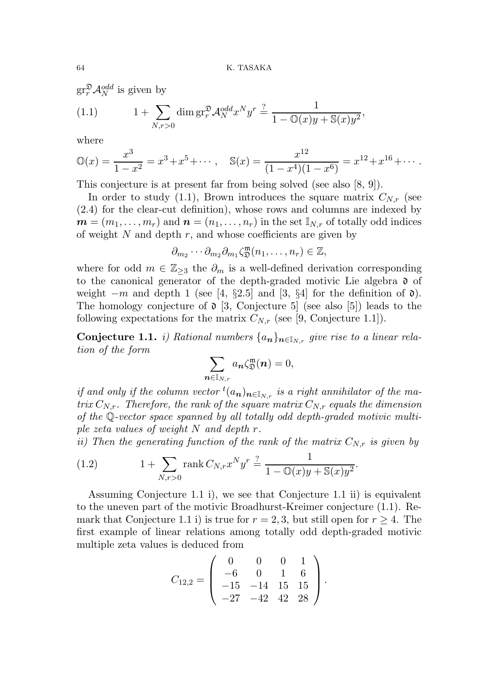$gr^{\mathfrak{D}}_{r} \mathcal{A}_{N}^{odd}$  is given by

(1.1) 
$$
1 + \sum_{N,r>0} \dim \mathrm{gr}^{\mathfrak{D}}_r \mathcal{A}_N^{odd} x^N y^r \stackrel{?}{=} \frac{1}{1 - \mathbb{O}(x)y + \mathbb{S}(x)y^2},
$$

where

$$
\mathbb{O}(x) = \frac{x^3}{1-x^2} = x^3 + x^5 + \dots, \quad \mathbb{S}(x) = \frac{x^{12}}{(1-x^4)(1-x^6)} = x^{12} + x^{16} + \dots
$$

This conjecture is at present far from being solved (see also [8, 9]).

In order to study (1.1), Brown introduces the square matrix  $C_{N,r}$  (see (2.4) for the clear-cut definition), whose rows and columns are indexed by  $\mathbf{m} = (m_1, \ldots, m_r)$  and  $\mathbf{n} = (n_1, \ldots, n_r)$  in the set  $\mathbb{I}_{N,r}$  of totally odd indices of weight  $N$  and depth  $r$ , and whose coefficients are given by

$$
\partial_{m_2}\cdots\partial_{m_2}\partial_{m_1}\zeta_{\mathfrak{D}}^{\mathfrak{m}}(n_1,\ldots,n_r)\in\mathbb{Z},
$$

where for odd  $m \in \mathbb{Z}_{\geq 3}$  the  $\partial_m$  is a well-defined derivation corresponding to the canonical generator of the depth-graded motivic Lie algebra  $\mathfrak d$  of weight  $-m$  and depth 1 (see [4, §2.5] and [3, §4] for the definition of  $\mathfrak{d}$ ). The homology conjecture of  $\mathfrak d$  [3, Conjecture 5] (see also [5]) leads to the following expectations for the matrix  $C_{N,r}$  (see [9, Conjecture 1.1]).

**Conjecture 1.1.** i) Rational numbers  $\{a_n\}_{n\in\mathbb{N}_r}$  give rise to a linear relation of the form

$$
\sum_{\boldsymbol{n}\in \mathbb{I}_{N,r}} a_{\boldsymbol{n}} \zeta_{\mathfrak{D}}^{\mathfrak{m}}(\boldsymbol{n})=0,
$$

if and only if the column vector  ${}^t(a_n)_{n\in\mathbb{I}_{N,r}}$  is a right annihilator of the matrix  $C_{N,r}$ . Therefore, the rank of the square matrix  $C_{N,r}$  equals the dimension of the Q-vector space spanned by all totally odd depth-graded motivic multiple zeta values of weight N and depth r.

ii) Then the generating function of the rank of the matrix  $C_{N,r}$  is given by

(1.2) 
$$
1 + \sum_{N,r>0} \text{rank } C_{N,r} x^N y^r \stackrel{?}{=} \frac{1}{1 - \mathbb{O}(x)y + \mathbb{S}(x)y^2}.
$$

Assuming Conjecture 1.1 i), we see that Conjecture 1.1 ii) is equivalent to the uneven part of the motivic Broadhurst-Kreimer conjecture (1.1). Remark that Conjecture 1.1 i) is true for  $r = 2, 3$ , but still open for  $r \geq 4$ . The first example of linear relations among totally odd depth-graded motivic multiple zeta values is deduced from

$$
C_{12,2} = \left(\begin{array}{rrr} 0 & 0 & 0 & 1 \\ -6 & 0 & 1 & 6 \\ -15 & -14 & 15 & 15 \\ -27 & -42 & 42 & 28 \end{array}\right).
$$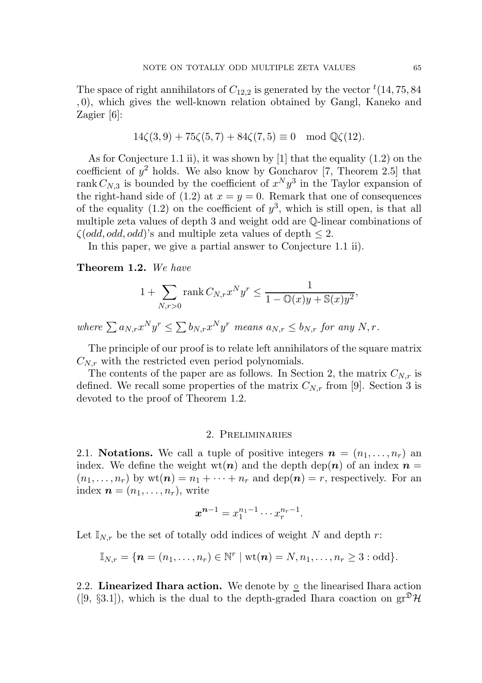The space of right annihilators of  $C_{12,2}$  is generated by the vector  ${}^t(14, 75, 84)$ , 0), which gives the well-known relation obtained by Gangl, Kaneko and Zagier [6]:

$$
14\zeta(3,9) + 75\zeta(5,7) + 84\zeta(7,5) \equiv 0 \mod \mathbb{Q}\zeta(12).
$$

As for Conjecture 1.1 ii), it was shown by [1] that the equality (1.2) on the coefficient of  $y^2$  holds. We also know by Goncharov [7, Theorem 2.5] that rank  $C_{N,3}$  is bounded by the coefficient of  $x^N y^3$  in the Taylor expansion of the right-hand side of (1.2) at  $x = y = 0$ . Remark that one of consequences of the equality  $(1.2)$  on the coefficient of  $y^3$ , which is still open, is that all multiple zeta values of depth 3 and weight odd are Q-linear combinations of  $\zeta(odd, odd, odd)$ 's and multiple zeta values of depth  $\leq 2$ .

In this paper, we give a partial answer to Conjecture 1.1 ii).

Theorem 1.2. We have

$$
1 + \sum_{N,r>0} \text{rank}\, C_{N,r} x^N y^r \le \frac{1}{1 - \mathbb{O}(x)y + \mathbb{S}(x)y^2},
$$

where  $\sum a_{N,r}x^Ny^r \leq \sum b_{N,r}x^Ny^r$  means  $a_{N,r} \leq b_{N,r}$  for any  $N,r$ .

The principle of our proof is to relate left annihilators of the square matrix  $C_{N,r}$  with the restricted even period polynomials.

The contents of the paper are as follows. In Section 2, the matrix  $C_{N,r}$  is defined. We recall some properties of the matrix  $C_{N,r}$  from [9]. Section 3 is devoted to the proof of Theorem 1.2.

# 2. Preliminaries

2.1. Notations. We call a tuple of positive integers  $\mathbf{n} = (n_1, \ldots, n_r)$  and index. We define the weight  $wt(n)$  and the depth dep $(n)$  of an index  $n =$  $(n_1, \ldots, n_r)$  by  $\text{wt}(n) = n_1 + \cdots + n_r$  and  $\text{dep}(n) = r$ , respectively. For an index  $\boldsymbol{n} = (n_1, \ldots, n_r)$ , write

$$
x^{n-1} = x_1^{n_1-1} \cdots x_r^{n_r-1}.
$$

Let  $\mathbb{I}_{N,r}$  be the set of totally odd indices of weight N and depth r:

$$
\mathbb{I}_{N,r} = \{\boldsymbol{n}=(n_1,\ldots,n_r)\in \mathbb{N}^r \mid \textnormal{wt}(\boldsymbol{n})=N,n_1,\ldots,n_r\geq 3: \textnormal{odd}\}.
$$

2.2. Linearized Ihara action. We denote by  $\circ$  the linearised Ihara action  $([9, §3.1])$ , which is the dual to the depth-graded Ihara coaction on  $gr^{\mathfrak{D}}\mathcal{H}$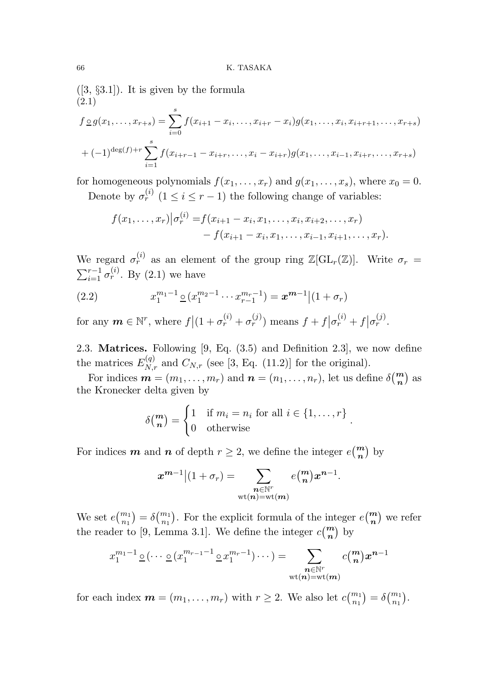$([3, §3.1])$ . It is given by the formula (2.1)

$$
f \circ g(x_1, \ldots, x_{r+s}) = \sum_{i=0}^s f(x_{i+1} - x_i, \ldots, x_{i+r} - x_i)g(x_1, \ldots, x_i, x_{i+r+1}, \ldots, x_{r+s})
$$
  
+  $(-1)^{\deg(f)+r} \sum_{i=1}^s f(x_{i+r-1} - x_{i+r}, \ldots, x_i - x_{i+r})g(x_1, \ldots, x_{i-1}, x_{i+r}, \ldots, x_{r+s})$ 

for homogeneous polynomials  $f(x_1, \ldots, x_r)$  and  $g(x_1, \ldots, x_s)$ , where  $x_0 = 0$ . Denote by  $\sigma_r^{(i)}$   $(1 \leq i \leq r-1)$  the following change of variables:

$$
f(x_1,...,x_r)|\sigma_r^{(i)} = f(x_{i+1}-x_i,x_1,...,x_i,x_{i+2},...,x_r) - f(x_{i+1}-x_i,x_1,...,x_{i-1},x_{i+1},...,x_r).
$$

We regard  $\sigma_r^{(i)}$  as an element of the group ring  $\mathbb{Z}[\mathrm{GL}_r(\mathbb{Z})]$ . Write  $\sigma_r =$  $\sum_{i=1}^{r-1} \sigma_r^{(i)}$ . By (2.1) we have

(2.2) 
$$
x_1^{m_1-1} \underline{\circ} (x_1^{m_2-1} \cdots x_{r-1}^{m_r-1}) = x^{m-1} | (1 + \sigma_r)
$$

for any  $m \in \mathbb{N}^r$ , where  $f|(1 + \sigma_r^{(i)} + \sigma_r^{(j)})$  means  $f + f|\sigma_r^{(i)} + f|\sigma_r^{(j)}$ .

2.3. Matrices. Following [9, Eq. (3.5) and Definition 2.3], we now define the matrices  $E_{N,r}^{(q)}$  and  $C_{N,r}$  (see [3, Eq. (11.2)] for the original).

For indices  $\mathbf{m} = (m_1, \ldots, m_r)$  and  $\mathbf{n} = (n_1, \ldots, n_r)$ , let us define  $\delta(\frac{\mathbf{m}}{\mathbf{n}})$  as the Kronecker delta given by

$$
\delta\binom{m}{n} = \begin{cases} 1 & \text{if } m_i = n_i \text{ for all } i \in \{1, \dots, r\} \\ 0 & \text{otherwise} \end{cases}.
$$

For indices **m** and **n** of depth  $r \geq 2$ , we define the integer  $e\binom{m}{n}$  by

$$
x^{m-1}\big|(1+\sigma_r)=\sum_{\substack{\boldsymbol n\in \mathbb N^r\\ \text{wt}(\boldsymbol n)=\text{wt}(\boldsymbol m)}}e\binom{m}{\boldsymbol n}x^{\boldsymbol n-1}.
$$

We set  $e{m_1 \choose n_1} = \delta{m_1 \choose n_1}$ . For the explicit formula of the integer  $e{m \choose n}$  we refer the reader to [9, Lemma 3.1]. We define the integer  $c\binom{m}{n}$  by

$$
x_1^{m_1-1} \circ (\cdots \circ (x_1^{m_{r-1}-1} \circ x_1^{m_r-1}) \cdots) = \sum_{\substack{n \in \mathbb{N}^r \\ \text{wt}(n) = \text{wt}(m)}} c_m^{m} x^{n-1}
$$

for each index  $m = (m_1, \ldots, m_r)$  with  $r \geq 2$ . We also let  $c {m_1 \choose n_1} = \delta {m_1 \choose n_1}$ .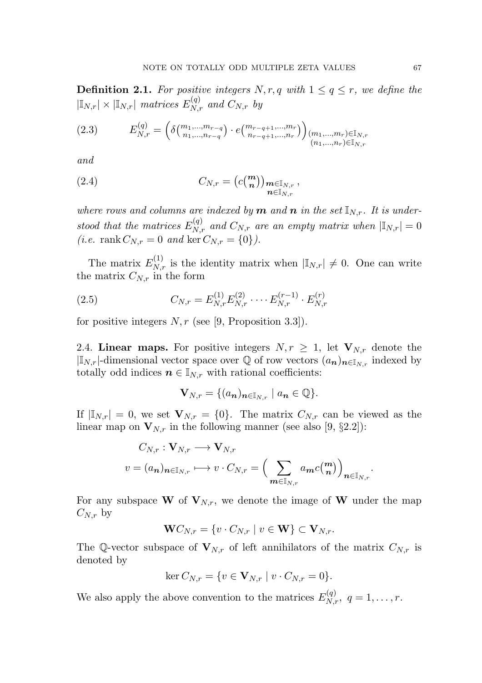**Definition 2.1.** For positive integers N, r, q with  $1 \leq q \leq r$ , we define the  $|\mathbb{I}_{N,r}| \times |\mathbb{I}_{N,r}|$  matrices  $E_{N,r}^{(q)}$  and  $C_{N,r}$  by

$$
(2.3) \qquad E_{N,r}^{(q)} = \left( \delta \begin{pmatrix} m_1, \dots, m_{r-q} \\ n_1, \dots, n_{r-q} \end{pmatrix} \cdot e \begin{pmatrix} m_{r-q+1}, \dots, m_r \\ n_{r-q+1}, \dots, n_r \end{pmatrix} \right) \begin{pmatrix} m_1, \dots, m_r \\ (n_1, \dots, n_r) \in \mathbb{I}_{N,r} \end{pmatrix}
$$

and

(2.4) 
$$
C_{N,r} = (c_{n}^{(m)})_{\substack{m \in \mathbb{I}_{N,r} \\ n \in \mathbb{I}_{N,r}}},
$$

where rows and columns are indexed by **m** and **n** in the set  $\mathbb{I}_{N,r}$ . It is understood that the matrices  $E_{N,r}^{(q)}$  and  $C_{N,r}$  are an empty matrix when  $|\mathbb{I}_{N,r}| = 0$ (*i.e.* rank  $C_{N,r} = 0$  and ker  $C_{N,r} = \{0\}$ ).

The matrix  $E_{N,r}^{(1)}$  is the identity matrix when  $|\mathbb{I}_{N,r}| \neq 0$ . One can write the matrix  $C_{N,r}$  in the form

(2.5) 
$$
C_{N,r} = E_{N,r}^{(1)} E_{N,r}^{(2)} \cdots E_{N,r}^{(r-1)} \cdot E_{N,r}^{(r)}
$$

for positive integers  $N, r$  (see [9, Proposition 3.3]).

2.4. Linear maps. For positive integers  $N, r \geq 1$ , let  $V_{N,r}$  denote the  $|\mathbb{I}_{N,r}|$ -dimensional vector space over  $\mathbb Q$  of row vectors  $(a_n)_{n\in\mathbb{I}_{N,r}}$  indexed by totally odd indices  $n \in \mathbb{I}_{N,r}$  with rational coefficients:

$$
\mathbf{V}_{N,r} = \{ (a_{n})_{n \in \mathbb{I}_{N,r}} \mid a_{n} \in \mathbb{Q} \}.
$$

If  $|\mathbb{I}_{N,r}| = 0$ , we set  $\mathbf{V}_{N,r} = \{0\}$ . The matrix  $C_{N,r}$  can be viewed as the linear map on  $\mathbf{V}_{N,r}$  in the following manner (see also [9, §2.2]):

$$
C_{N,r}: \mathbf{V}_{N,r} \longrightarrow \mathbf{V}_{N,r}
$$
  

$$
v = (a_{n})_{n \in \mathbb{I}_{N,r}} \longmapsto v \cdot C_{N,r} = \Big(\sum_{m \in \mathbb{I}_{N,r}} a_{m} c_{n}^{(m)}\Big)_{n \in \mathbb{I}_{N,r}}.
$$

For any subspace W of  $V_{N,r}$ , we denote the image of W under the map  $C_{N,r}$  by

$$
\mathbf{W}C_{N,r} = \{v \cdot C_{N,r} \mid v \in \mathbf{W}\} \subset \mathbf{V}_{N,r}.
$$

The Q-vector subspace of  $V_{N,r}$  of left annihilators of the matrix  $C_{N,r}$  is denoted by

$$
\ker C_{N,r} = \{ v \in \mathbf{V}_{N,r} \mid v \cdot C_{N,r} = 0 \}.
$$

We also apply the above convention to the matrices  $E_{N,r}^{(q)}$ ,  $q = 1, \ldots, r$ .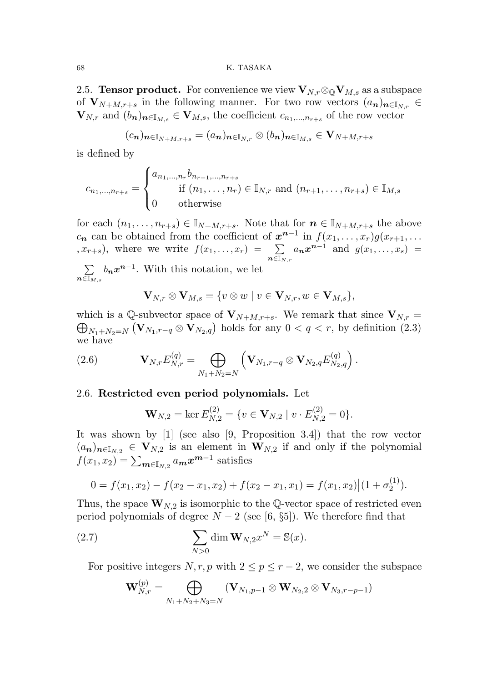# 68 K. TASAKA

2.5. **Tensor product.** For convenience we view  $\mathbf{V}_{N,r} \otimes_{\mathbb{Q}} \mathbf{V}_{M,s}$  as a subspace of  $V_{N+M,r+s}$  in the following manner. For two row vectors  $(a_n)_{n\in\mathbb{N}_r}$  $\mathbf{V}_{N,r}$  and  $(b_n)_{n \in \mathbb{I}_{M,s}} \in \mathbf{V}_{M,s}$ , the coefficient  $c_{n_1,...,n_{r+s}}$  of the row vector

$$
(c_{\boldsymbol{n}})_{\boldsymbol{n}\in \mathbb{I}_{N+M,r+s}}=(a_{\boldsymbol{n}})_{\boldsymbol{n}\in \mathbb{I}_{N,r}}\otimes (b_{\boldsymbol{n}})_{\boldsymbol{n}\in \mathbb{I}_{M,s}}\in \mathbf{V}_{N+M,r+s}
$$

is defined by

$$
c_{n_1,...,n_{r+s}} = \begin{cases} a_{n_1,...,n_r} b_{n_{r+1},...,n_{r+s}} \\ \text{if } (n_1,...,n_r) \in \mathbb{I}_{N,r} \text{ and } (n_{r+1},...,n_{r+s}) \in \mathbb{I}_{M,s} \\ 0 \quad \text{otherwise} \end{cases}
$$

for each  $(n_1, \ldots, n_{r+s}) \in \mathbb{I}_{N+M,r+s}$ . Note that for  $n \in \mathbb{I}_{N+M,r+s}$  the above  $c_n$  can be obtained from the coefficient of  $x^{n-1}$  in  $f(x_1, \ldots, x_r)g(x_{r+1}, \ldots)$  $(x, x_{r+s})$ , where we write  $f(x_1, \ldots, x_r) = \sum$  $\bar{\boldsymbol n}$ ∈I $_{N,r}$  $a_n x^{n-1}$  and  $g(x_1, \ldots, x_s)$  =

 $\sum$  $\boldsymbol{n}$ ∈I $_M, s$  $b_n x^{n-1}$ . With this notation, we let

$$
\mathbf{V}_{N,r}\otimes\mathbf{V}_{M,s}=\{v\otimes w\mid v\in\mathbf{V}_{N,r},w\in\mathbf{V}_{M,s}\},\
$$

which is a Q-subvector space of  $V_{N+M,r+s}$ . We remark that since  $V_{N,r}$  =  $\bigoplus_{N_1+N_2=N} (\mathbf{V}_{N_1,r-q} \otimes \mathbf{V}_{N_2,q})$  holds for any  $0 < q < r$ , by definition  $(2.3)$ we have

(2.6) 
$$
\mathbf{V}_{N,r} E_{N,r}^{(q)} = \bigoplus_{N_1+N_2=N} \left( \mathbf{V}_{N_1,r-q} \otimes \mathbf{V}_{N_2,q} E_{N_2,q}^{(q)} \right).
$$

#### 2.6. Restricted even period polynomials. Let

$$
\mathbf{W}_{N,2} = \ker E_{N,2}^{(2)} = \{ v \in \mathbf{V}_{N,2} \mid v \cdot E_{N,2}^{(2)} = 0 \}.
$$

It was shown by [1] (see also [9, Proposition 3.4]) that the row vector  $(a_n)_{n\in\mathbb{I}_{N,2}} \in \mathbf{V}_{N,2}$  is an element in  $\mathbf{W}_{N,2}$  if and only if the polynomial  $f(x_1, x_2) = \sum_{m \in \mathbb{I}_{N,2}} a_m x^{m-1}$  satisfies

$$
0 = f(x_1, x_2) - f(x_2 - x_1, x_2) + f(x_2 - x_1, x_1) = f(x_1, x_2) | (1 + \sigma_2^{(1)}).
$$

Thus, the space  $\mathbf{W}_{N,2}$  is isomorphic to the Q-vector space of restricted even period polynomials of degree  $N-2$  (see [6, §5]). We therefore find that

(2.7) 
$$
\sum_{N>0} \dim \mathbf{W}_{N,2} x^N = \mathbb{S}(x).
$$

For positive integers  $N, r, p$  with  $2 \le p \le r-2$ , we consider the subspace

$$
\mathbf{W}_{N,r}^{(p)} = \bigoplus_{N_1+N_2+N_3=N} (\mathbf{V}_{N_1,p-1} \otimes \mathbf{W}_{N_2,2} \otimes \mathbf{V}_{N_3,r-p-1})
$$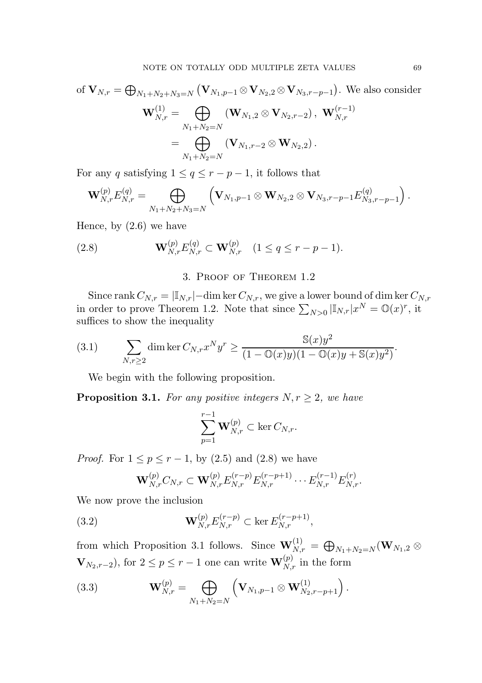of 
$$
\mathbf{V}_{N,r} = \bigoplus_{N_1 + N_2 + N_3 = N} (\mathbf{V}_{N_1,p-1} \otimes \mathbf{V}_{N_2,2} \otimes \mathbf{V}_{N_3,r-p-1})
$$
. We also consider  
\n
$$
\mathbf{W}_{N,r}^{(1)} = \bigoplus_{N_1 + N_2 = N} (\mathbf{W}_{N_1,2} \otimes \mathbf{V}_{N_2,r-2}), \mathbf{W}_{N,r}^{(r-1)}
$$
\n
$$
= \bigoplus_{N_1 + N_2 = N} (\mathbf{V}_{N_1,r-2} \otimes \mathbf{W}_{N_2,2}).
$$

For any q satisfying  $1 \le q \le r - p - 1$ , it follows that

$$
\mathbf{W}_{N,r}^{(p)}E_{N,r}^{(q)}=\bigoplus_{N_1+N_2+N_3=N}\left(\mathbf{V}_{N_1,p-1}\otimes\mathbf{W}_{N_2,2}\otimes\mathbf{V}_{N_3,r-p-1}E_{N_3,r-p-1}^{(q)}\right).
$$

Hence, by  $(2.6)$  we have

(2.8) 
$$
\mathbf{W}_{N,r}^{(p)} E_{N,r}^{(q)} \subset \mathbf{W}_{N,r}^{(p)} \quad (1 \le q \le r-p-1).
$$

# 3. Proof of Theorem 1.2

Since rank  $C_{N,r} = |\mathbb{I}_{N,r}|$  – dim ker  $C_{N,r}$ , we give a lower bound of dim ker  $C_{N,r}$ in order to prove Theorem 1.2. Note that since  $\sum_{N>0} |\mathbb{I}_{N,r}| x^N = \mathbb{O}(x)^r$ , it suffices to show the inequality

(3.1) 
$$
\sum_{N,r\geq 2} \dim \ker C_{N,r} x^N y^r \geq \frac{\mathbb{S}(x)y^2}{(1-\mathbb{O}(x)y)(1-\mathbb{O}(x)y+\mathbb{S}(x)y^2)}.
$$

We begin with the following proposition.

**Proposition 3.1.** For any positive integers  $N, r \geq 2$ , we have

$$
\sum_{p=1}^{r-1} \mathbf{W}_{N,r}^{(p)} \subset \ker C_{N,r}.
$$

*Proof.* For  $1 \le p \le r - 1$ , by (2.5) and (2.8) we have

$$
\mathbf{W}_{N,r}^{(p)}C_{N,r} \subset \mathbf{W}_{N,r}^{(p)}E_{N,r}^{(r-p)}E_{N,r}^{(r-p+1)}\cdots E_{N,r}^{(r-1)}E_{N,r}^{(r)}.
$$

We now prove the inclusion

(3.2) 
$$
\mathbf{W}_{N,r}^{(p)} E_{N,r}^{(r-p)} \subset \ker E_{N,r}^{(r-p+1)},
$$

from which Proposition 3.1 follows. Since  $\mathbf{W}_{N,r}^{(1)} = \bigoplus_{N_1+N_2=N} (\mathbf{W}_{N_1,2} \otimes$  $\mathbf{V}_{N_2,r-2}$ ), for  $2 \le p \le r-1$  one can write  $\mathbf{W}_{N,r}^{(p)}$  in the form

(3.3) 
$$
\mathbf{W}_{N,r}^{(p)} = \bigoplus_{N_1+N_2=N} \left( \mathbf{V}_{N_1,p-1} \otimes \mathbf{W}_{N_2,r-p+1}^{(1)} \right).
$$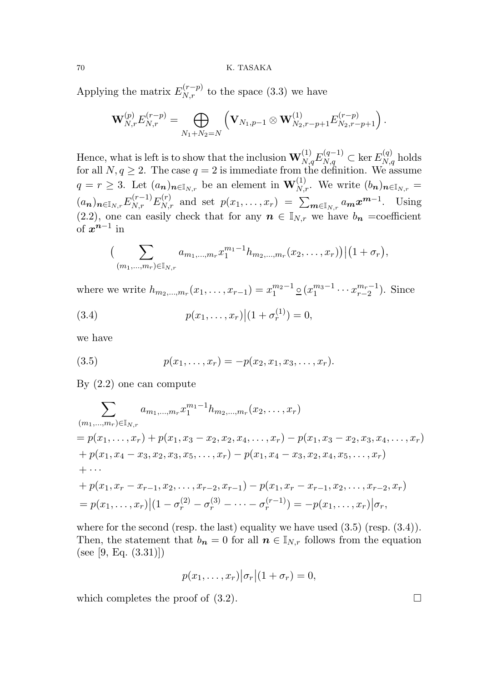## 70 K. TASAKA

Applying the matrix  $E_{N,r}^{(r-p)}$  to the space (3.3) we have

$$
\mathbf{W}_{N,r}^{(p)}E_{N,r}^{(r-p)}=\bigoplus_{N_1+N_2=N}\left(\mathbf{V}_{N_1,p-1}\otimes \mathbf{W}_{N_2,r-p+1}^{(1)}E_{N_2,r-p+1}^{(r-p)}\right).
$$

Hence, what is left is to show that the inclusion  $\mathbf{W}_{N,q}^{(1)}E_{N,q}^{(q-1)}\subset\ker E_{N,q}^{(q)}$  holds for all  $N, q \geq 2$ . The case  $q = 2$  is immediate from the definition. We assume  $q = r \geq 3$ . Let  $(a_n)_{n \in \mathbb{I}_{N,r}}$  be an element in  $\mathbf{W}_{N,r}^{(1)}$ . We write  $(b_n)_{n \in \mathbb{I}_{N,r}} =$  $(a_n)_{n \in \mathbb{I}_{N,r}} E^{(r-1)}_{N,r} E^{(r)}_{N,r}$  and set  $p(x_1, \ldots, x_r) = \sum_{m \in \mathbb{I}_{N,r}} a_m x^{m-1}$ . Using (2.2), one can easily check that for any  $n \in \mathbb{I}_{N,r}$  we have  $b_n$  =coefficient of  $x^{n-1}$  in

$$
\Big(\sum_{(m_1,\ldots,m_r)\in\mathbb{I}_{N,r}}a_{m_1,\ldots,m_r}x_1^{m_1-1}h_{m_2,\ldots,m_r}(x_2,\ldots,x_r)\Big)\Big|(1+\sigma_r),
$$

where we write  $h_{m_2,...,m_r}(x_1,...,x_{r-1}) = x_1^{m_2-1}$  $\frac{m_2-1}{1} \circ (x_1^{m_3-1})$  $\frac{m_3-1}{1}\cdots x_{r-2}^{m_r-1}$  $_{r-2}^{m_r-1}$ ). Since

(3.4) 
$$
p(x_1, ..., x_r) | (1 + \sigma_r^{(1)}) = 0,
$$

we have

(3.5) 
$$
p(x_1,...,x_r) = -p(x_2,x_1,x_3,...,x_r).
$$

By (2.2) one can compute

$$
\sum_{(m_1,\ldots,m_r)\in\mathbb{I}_{N,r}} a_{m_1,\ldots,m_r} x_1^{m_1-1} h_{m_2,\ldots,m_r}(x_2,\ldots,x_r)
$$
\n
$$
= p(x_1,\ldots,x_r) + p(x_1,x_3-x_2,x_2,x_4,\ldots,x_r) - p(x_1,x_3-x_2,x_3,x_4,\ldots,x_r)
$$
\n
$$
+ p(x_1,x_4-x_3,x_2,x_3,x_5,\ldots,x_r) - p(x_1,x_4-x_3,x_2,x_4,x_5,\ldots,x_r)
$$
\n
$$
+ \cdots
$$
\n
$$
+ p(x_1,x_r-x_{r-1},x_2,\ldots,x_{r-2},x_{r-1}) - p(x_1,x_r-x_{r-1},x_2,\ldots,x_{r-2},x_r)
$$
\n
$$
= p(x_1,\ldots,x_r) |(1-\sigma_r^{(2)}-\sigma_r^{(3)}-\cdots-\sigma_r^{(r-1)}) = -p(x_1,\ldots,x_r) | \sigma_r,
$$

where for the second (resp. the last) equality we have used  $(3.5)$  (resp.  $(3.4)$ ). Then, the statement that  $b_n = 0$  for all  $n \in \mathbb{I}_{N,r}$  follows from the equation (see [9, Eq.  $(3.31)$ ])

$$
p(x_1,\ldots,x_r)|\sigma_r|(1+\sigma_r)=0,
$$

which completes the proof of  $(3.2)$ .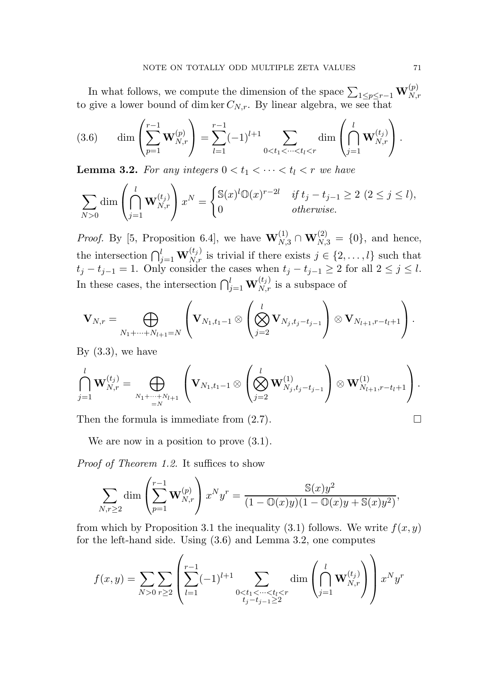In what follows, we compute the dimension of the space  $\sum_{1 \le p \le r-1} \mathbf{W}_{N,r}^{(p)}$ to give a lower bound of dim ker  $C_{N,r}$ . By linear algebra, we see that

(3.6) 
$$
\dim \left( \sum_{p=1}^{r-1} \mathbf{W}_{N,r}^{(p)} \right) = \sum_{l=1}^{r-1} (-1)^{l+1} \sum_{0 < t_1 < \dots < t_l < r} \dim \left( \bigcap_{j=1}^{l} \mathbf{W}_{N,r}^{(t_j)} \right).
$$

**Lemma 3.2.** For any integers  $0 < t_1 < \cdots < t_l < r$  we have

$$
\sum_{N>0} \dim \left(\bigcap_{j=1}^l \mathbf{W}_{N,r}^{(t_j)}\right) x^N = \begin{cases} \mathbb{S}(x)^l \mathbb{O}(x)^{r-2l} & \text{if } t_j - t_{j-1} \ge 2 \ (2 \le j \le l), \\ 0 & \text{otherwise.} \end{cases}
$$

*Proof.* By [5, Proposition 6.4], we have  $\mathbf{W}_{N,3}^{(1)} \cap \mathbf{W}_{N,3}^{(2)} = \{0\}$ , and hence, the intersection  $\bigcap_{j=1}^l \mathbf{W}_{N,r}^{(t_j)}$  is trivial if there exists  $j \in \{2, \ldots, l\}$  such that  $t_j - t_{j-1} = 1$ . Only consider the cases when  $t_j - t_{j-1} \geq 2$  for all  $2 \leq j \leq l$ . In these cases, the intersection  $\bigcap_{j=1}^{l} \mathbf{W}_{N,r}^{(t_j)}$  is a subspace of

$$
\mathbf{V}_{N,r} = \bigoplus_{N_1 + \dots + N_{l+1} = N} \left( \mathbf{V}_{N_1,t_1-1} \otimes \left( \bigotimes_{j=2}^l \mathbf{V}_{N_j,t_j-t_{j-1}} \right) \otimes \mathbf{V}_{N_{l+1},r-t_l+1} \right).
$$

By  $(3.3)$ , we have

$$
\bigcap_{j=1}^l \mathbf{W}_{N,r}^{(t_j)} = \bigoplus_{\substack{N_1+\cdots+N_{l+1}\\=N}} \left( \mathbf{V}_{N_1,t_1-1} \otimes \left( \bigotimes_{j=2}^l \mathbf{W}_{N_j,t_j-t_{j-1}}^{(1)} \right) \otimes \mathbf{W}_{N_{l+1},r-t_{l}+1}^{(1)} \right).
$$

Then the formula is immediate from  $(2.7)$ .

We are now in a position to prove  $(3.1)$ .

Proof of Theorem 1.2. It suffices to show

$$
\sum_{N,r\geq 2} \dim \left(\sum_{p=1}^{r-1} \mathbf{W}_{N,r}^{(p)}\right) x^N y^r = \frac{\mathbb{S}(x) y^2}{(1 - \mathbb{O}(x) y)(1 - \mathbb{O}(x) y + \mathbb{S}(x) y^2)},
$$

from which by Proposition 3.1 the inequality (3.1) follows. We write  $f(x, y)$ for the left-hand side. Using (3.6) and Lemma 3.2, one computes

$$
f(x,y) = \sum_{N>0} \sum_{r\geq 2} \left( \sum_{l=1}^{r-1} (-1)^{l+1} \sum_{\substack{0 < t_1 < \dots < t_l < r \\ t_j - t_{j-1} \geq 2}} \dim \left( \bigcap_{j=1}^l \mathbf{W}_{N,r}^{(t_j)} \right) \right) x^N y^r
$$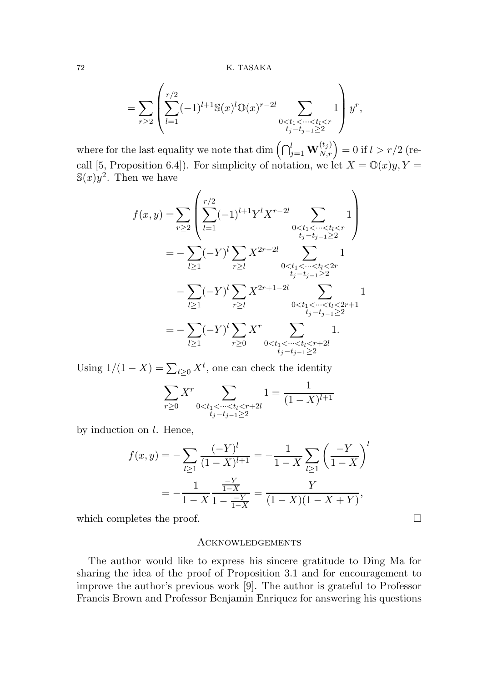$$
= \sum_{r\geq 2} \left( \sum_{l=1}^{r/2} (-1)^{l+1} \mathbb{S}(x)^l \mathbb{O}(x)^{r-2l} \sum_{\substack{0 < t_1 < \dots < t_l < r \\ t_j - t_{j-1} \geq 2}} 1 \right) y^r,
$$

where for the last equality we note that  $\dim\left(\bigcap_{j=1}^l{\bf W}_{N,r}^{(t_j)}\right)=0$  if  $l>r/2$  (recall [5, Proposition 6.4]). For simplicity of notation, we let  $X = \mathbb{O}(x)y, Y =$  $\mathbb{S}(x)y^2$ . Then we have

$$
f(x,y) = \sum_{r\geq 2} \left( \sum_{l=1}^{r/2} (-1)^{l+1} Y^l X^{r-2l} \sum_{\substack{0 < t_1 < \dots < t_l < r \\ t_j - t_{j-1} \geq 2}} 1 \right)
$$
  
\n
$$
= -\sum_{l\geq 1} (-Y)^l \sum_{r\geq l} X^{2r-2l} \sum_{\substack{0 < t_1 < \dots < t_l < 2r \\ t_j - t_{j-1} \geq 2}} 1
$$
  
\n
$$
- \sum_{l\geq 1} (-Y)^l \sum_{r\geq l} X^{2r+1-2l} \sum_{\substack{0 < t_1 < \dots < t_l < 2r+1 \\ t_j - t_{j-1} \geq 2}} 1
$$
  
\n
$$
= -\sum_{l\geq 1} (-Y)^l \sum_{r\geq 0} X^r \sum_{\substack{0 < t_1 < \dots < t_l < r+2l \\ t_j - t_{j-1} \geq 2}} 1.
$$

Using  $1/(1 - X) = \sum_{t \geq 0} X^t$ , one can check the identity

$$
\sum_{r\geq 0} X^r \sum_{\substack{0 < t_1 < \dots < t_l < r+2l \\ t_j - t_{j-1} \geq 2}} 1 = \frac{1}{(1-X)^{l+1}}
$$

by induction on  $l$ . Hence,

$$
f(x,y) = -\sum_{l\geq 1} \frac{(-Y)^l}{(1-X)^{l+1}} = -\frac{1}{1-X} \sum_{l\geq 1} \left(\frac{-Y}{1-X}\right)^l
$$

$$
= -\frac{1}{1-X} \frac{\frac{-Y}{1-X}}{1-\frac{-Y}{1-X}} = \frac{Y}{(1-X)(1-X+Y)},
$$

which completes the proof.  $\Box$ 

# Acknowledgements

The author would like to express his sincere gratitude to Ding Ma for sharing the idea of the proof of Proposition 3.1 and for encouragement to improve the author's previous work [9]. The author is grateful to Professor Francis Brown and Professor Benjamin Enriquez for answering his questions